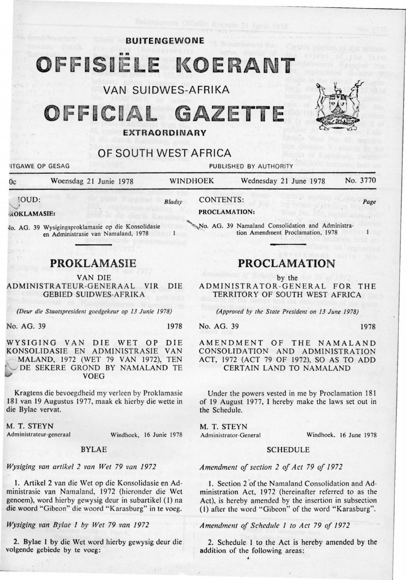# OFFISIELE KOERANT

**BUITENGEWONE** 

# VAN SUIDWES-AFRIKA

# OFFICIAL GAZETTE

# OF SOUTH WEST AFRICA

**ITGAWE OP GESAG PUBLISHED BY AUTHORITY** 

| 0c                                 | Woensdag 21 Junie 1978                                                                     |        | <b>WINDHOEK</b>                                   | Wednesday 21 June 1978            |  | No. 3770 |
|------------------------------------|--------------------------------------------------------------------------------------------|--------|---------------------------------------------------|-----------------------------------|--|----------|
| <b>TOUD:</b><br><b>ROKLAMASIE:</b> |                                                                                            | Bladsy | <b>CONTENTS:</b><br>PROCLAMATION:                 |                                   |  | Page     |
|                                    | Vo. AG. 39 Wysigingsproklamasie op die Konsolidasie<br>en Administrasie van Namaland, 1978 |        | No. AG. 39 Namaland Consolidation and Administra- | tion Amendment Proclamation, 1978 |  |          |

# **PROKLAMASIE**

VAN DIE

ADMINISTRA TEUR-G ENERAA L VIR DIE GEBIED SUIDWES-AFRIKA

*(Deur die Staatspresident goedgekeur op 13 Junie 1978)* 

No. AG. 39 1978

WYSIGING VAN DIE WET OP DIE<br>KONSOLIDASIE EN ADMINISTRASIE VAN KONSOLIDASIE EN ADMINISTRASIE MALAND, 1972 (WET 79 VAN 1972), TEN DE SEKERE GROND BY NAMALAND TE VOEG

Kragtens die bevoegdheid my verleen by Proklamasie 181 van 19 Augustus 1977, maak ek hierby die wette in die Bylae vervat.

M. T. STEYN

Administrateur-generaal

Windhoek, 16 Junie 1978

### BYLAE

*Wysiging van artikel 2 van Wet 79 van 1972* 

l. Artikel 2 van die Wet op die Konsolidasie en Administrasie van Namaland, 1972 (hieronder die Wet genoem), word hierby gewysig deur in subartikel (I) na die woord "Gibeon" die woord " Karasburg" in te voeg.

Wysiging van Bylae 1 by Wet 79 van 1972

2. Bylae I by die Wet word hierby gewysig deur die volgende gebiede by te voeg:

# **PROCLAMATION**

by the

ADMINISTRATOR-GENERAL FOR THE TERRITORY OF SOUTH WEST AFRICA

*(Approved by the State President on 13 June 1978)* 

No. AG. 39 1978

AMENDMENT OF THE NAMALAND CONSOLIDATION AND ADMINISTRATION ACT, 1972 (ACT 79 OF 1972), SO AS TO ADD CERTAIN LAND TO NAMALAND

Under the powers vested in me by Proclamation 181 of 19 August 1977, I hereby make the laws set out in the Schedule.

M. T. STEYN

Administrator-General Windhoek. 16 June 1978

### SCHEDULE

*Amendment of section 2 of Act 79 of 1972* 

1. Section 2 of the Namaland Consolidation and Administration Act. 1972 (hereinafter referred to as the Act). is hereby amended by the insertion in subsection (I} after the word "Gibeon" of the word "Karasburg".

*Amendment of Schedule 1 to Act 79 of 1972* 

2. Schedule 1 to the Act is hereby amended by the addition of the following areas: